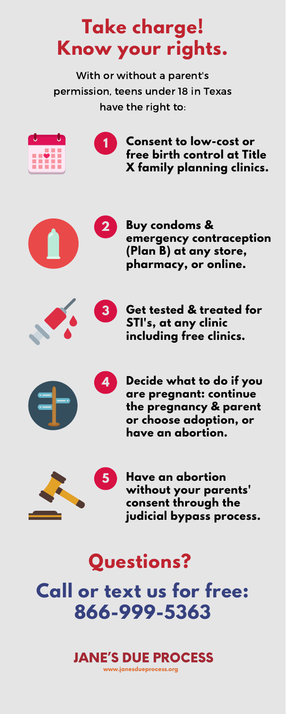## **Take charge! Know your rights.**

With or without a parent's permission, teens under 18 in Texas have the right to:



**Consent to low-cost or free birth control at Title X family planning clinics.**



**Buy condoms & emergency contraception (Plan B) at any store, pharmacy, or online.**



**Get tested & treated for STI's, at any clinic including free clinics.**



**Decide what to do if you are pregnant: continue the pregnancy & parent or choose adoption, or have an abortion.**



**Have an abortion without your parents' consent through the judicial bypass process.**



# **Questions? Call or text us for free: 866-999-5363**

## **JANE'S DUE PROCESS**

www.janesdueprocess.org